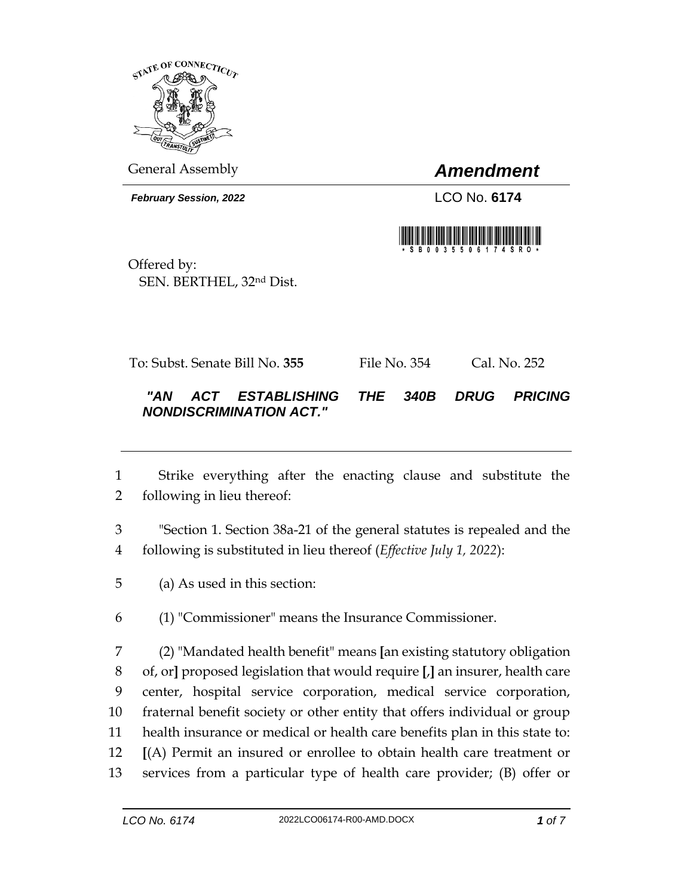

General Assembly *Amendment*

*February Session, 2022* LCO No. **6174**



Offered by: SEN. BERTHEL, 32nd Dist.

To: Subst. Senate Bill No. **355** File No. 354 Cal. No. 252

## *"AN ACT ESTABLISHING THE 340B DRUG PRICING NONDISCRIMINATION ACT."*

- Strike everything after the enacting clause and substitute the following in lieu thereof:
- "Section 1. Section 38a-21 of the general statutes is repealed and the following is substituted in lieu thereof (*Effective July 1, 2022*):
- (a) As used in this section:
- (1) "Commissioner" means the Insurance Commissioner.

 (2) "Mandated health benefit" means **[**an existing statutory obligation of, or**]** proposed legislation that would require **[**,**]** an insurer, health care center, hospital service corporation, medical service corporation, fraternal benefit society or other entity that offers individual or group health insurance or medical or health care benefits plan in this state to: **[**(A) Permit an insured or enrollee to obtain health care treatment or services from a particular type of health care provider; (B) offer or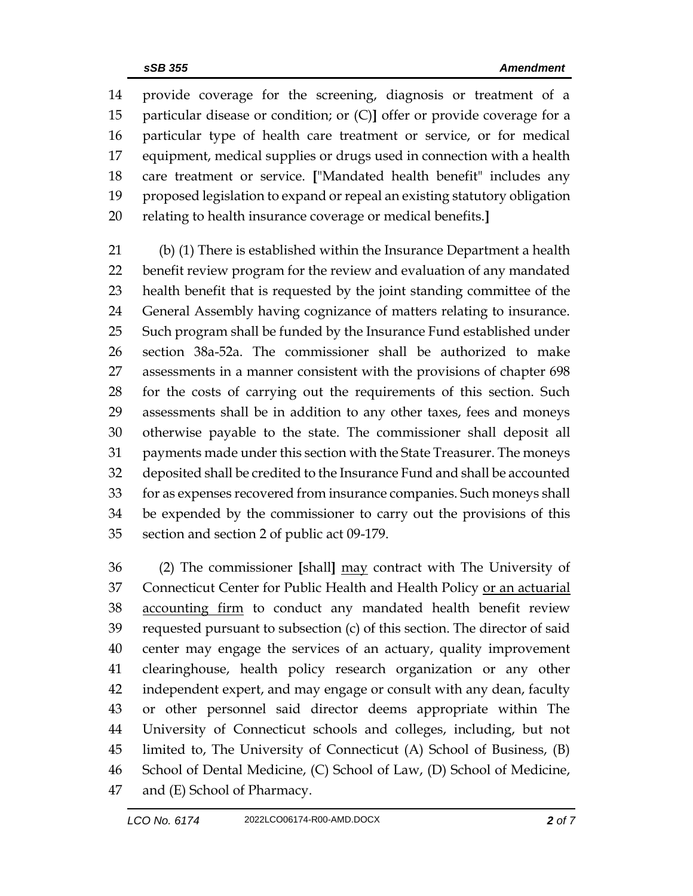provide coverage for the screening, diagnosis or treatment of a particular disease or condition; or (C)**]** offer or provide coverage for a particular type of health care treatment or service, or for medical equipment, medical supplies or drugs used in connection with a health care treatment or service. **[**"Mandated health benefit" includes any proposed legislation to expand or repeal an existing statutory obligation relating to health insurance coverage or medical benefits.**]**

 (b) (1) There is established within the Insurance Department a health benefit review program for the review and evaluation of any mandated health benefit that is requested by the joint standing committee of the General Assembly having cognizance of matters relating to insurance. Such program shall be funded by the Insurance Fund established under section 38a-52a. The commissioner shall be authorized to make assessments in a manner consistent with the provisions of chapter 698 for the costs of carrying out the requirements of this section. Such assessments shall be in addition to any other taxes, fees and moneys otherwise payable to the state. The commissioner shall deposit all payments made under this section with the State Treasurer. The moneys deposited shall be credited to the Insurance Fund and shall be accounted for as expenses recovered from insurance companies. Such moneys shall be expended by the commissioner to carry out the provisions of this section and section 2 of public act 09-179.

 (2) The commissioner **[**shall**]** may contract with The University of Connecticut Center for Public Health and Health Policy or an actuarial 38 accounting firm to conduct any mandated health benefit review requested pursuant to subsection (c) of this section. The director of said center may engage the services of an actuary, quality improvement clearinghouse, health policy research organization or any other independent expert, and may engage or consult with any dean, faculty or other personnel said director deems appropriate within The University of Connecticut schools and colleges, including, but not limited to, The University of Connecticut (A) School of Business, (B) School of Dental Medicine, (C) School of Law, (D) School of Medicine, and (E) School of Pharmacy.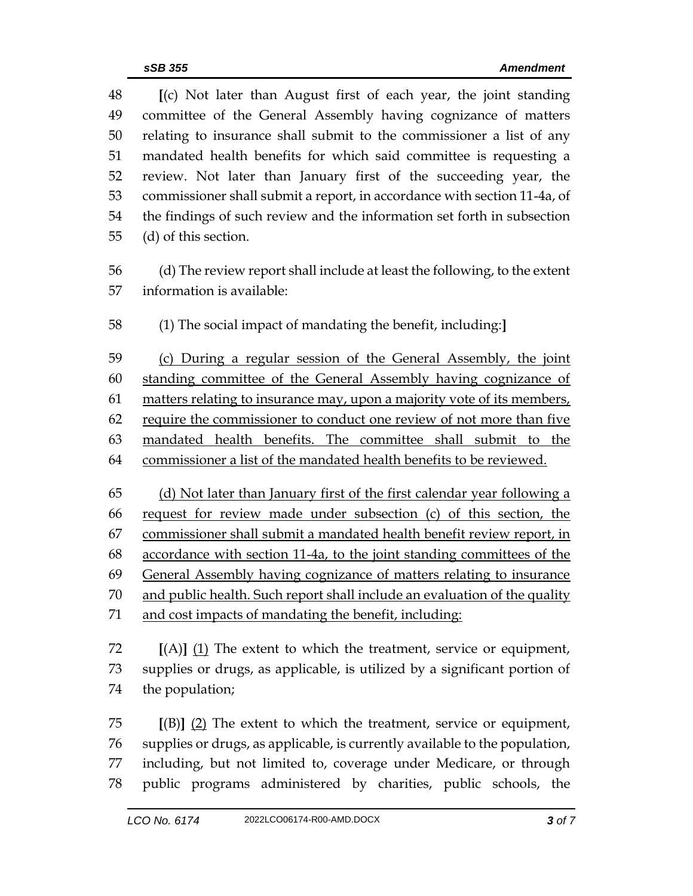**[**(c) Not later than August first of each year, the joint standing committee of the General Assembly having cognizance of matters relating to insurance shall submit to the commissioner a list of any mandated health benefits for which said committee is requesting a review. Not later than January first of the succeeding year, the commissioner shall submit a report, in accordance with section 11-4a, of the findings of such review and the information set forth in subsection (d) of this section. (d) The review report shall include at least the following, to the extent information is available: (1) The social impact of mandating the benefit, including:**]** (c) During a regular session of the General Assembly, the joint standing committee of the General Assembly having cognizance of 61 matters relating to insurance may, upon a majority vote of its members, require the commissioner to conduct one review of not more than five mandated health benefits. The committee shall submit to the commissioner a list of the mandated health benefits to be reviewed. (d) Not later than January first of the first calendar year following a request for review made under subsection (c) of this section, the commissioner shall submit a mandated health benefit review report, in accordance with section 11-4a, to the joint standing committees of the General Assembly having cognizance of matters relating to insurance 70 and public health. Such report shall include an evaluation of the quality and cost impacts of mandating the benefit, including: **[**(A)**]** (1) The extent to which the treatment, service or equipment, supplies or drugs, as applicable, is utilized by a significant portion of the population; **[**(B)**]** (2) The extent to which the treatment, service or equipment, supplies or drugs, as applicable, is currently available to the population, including, but not limited to, coverage under Medicare, or through

public programs administered by charities, public schools, the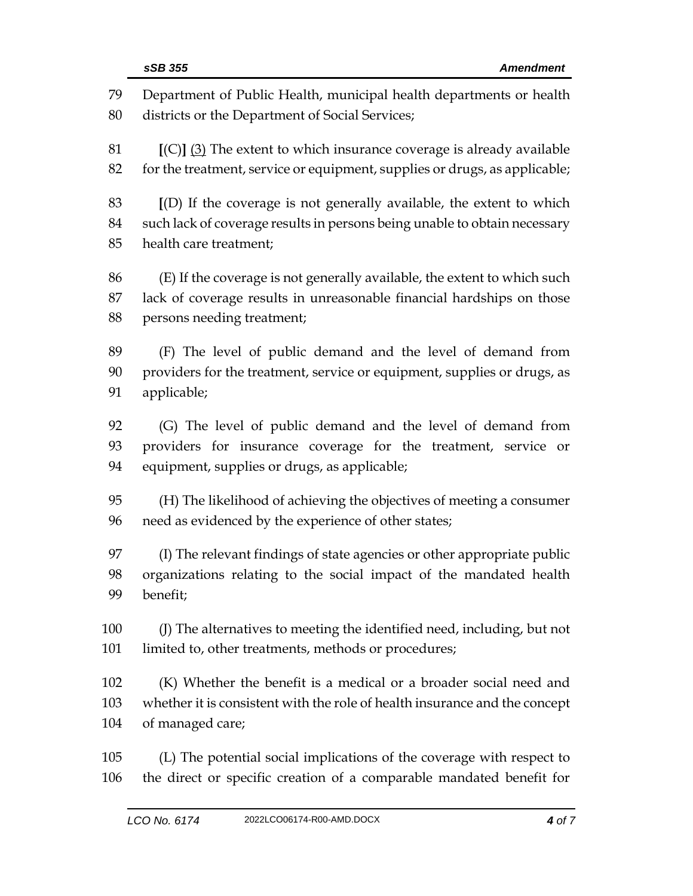Department of Public Health, municipal health departments or health districts or the Department of Social Services; **[**(C)**]** (3) The extent to which insurance coverage is already available 82 for the treatment, service or equipment, supplies or drugs, as applicable; **[**(D) If the coverage is not generally available, the extent to which such lack of coverage results in persons being unable to obtain necessary health care treatment; (E) If the coverage is not generally available, the extent to which such lack of coverage results in unreasonable financial hardships on those persons needing treatment; (F) The level of public demand and the level of demand from providers for the treatment, service or equipment, supplies or drugs, as applicable; (G) The level of public demand and the level of demand from providers for insurance coverage for the treatment, service or equipment, supplies or drugs, as applicable; (H) The likelihood of achieving the objectives of meeting a consumer need as evidenced by the experience of other states; (I) The relevant findings of state agencies or other appropriate public organizations relating to the social impact of the mandated health benefit; (J) The alternatives to meeting the identified need, including, but not limited to, other treatments, methods or procedures; (K) Whether the benefit is a medical or a broader social need and whether it is consistent with the role of health insurance and the concept of managed care; (L) The potential social implications of the coverage with respect to the direct or specific creation of a comparable mandated benefit for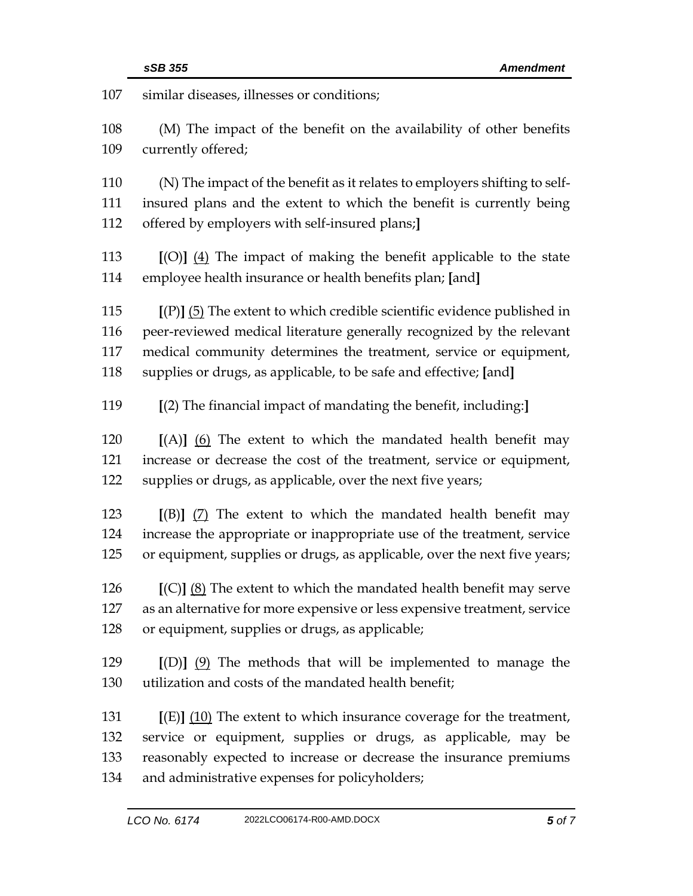| 107        | similar diseases, illnesses or conditions;                                                |  |  |
|------------|-------------------------------------------------------------------------------------------|--|--|
| 108<br>109 | (M) The impact of the benefit on the availability of other benefits<br>currently offered; |  |  |
| 110        | (N) The impact of the benefit as it relates to employers shifting to self-                |  |  |
| 111        | insured plans and the extent to which the benefit is currently being                      |  |  |
| 112        | offered by employers with self-insured plans;                                             |  |  |
| 113        | $[(O)]$ $(4)$ The impact of making the benefit applicable to the state                    |  |  |
| 114        | employee health insurance or health benefits plan; [and]                                  |  |  |
| 115        | $[(P)]$ (5) The extent to which credible scientific evidence published in                 |  |  |
| 116        | peer-reviewed medical literature generally recognized by the relevant                     |  |  |
| 117        | medical community determines the treatment, service or equipment,                         |  |  |
| 118        | supplies or drugs, as applicable, to be safe and effective; [and]                         |  |  |
| 119        | [(2) The financial impact of mandating the benefit, including:]                           |  |  |
| 120        | $[(A)]$ (6) The extent to which the mandated health benefit may                           |  |  |
| 121        | increase or decrease the cost of the treatment, service or equipment,                     |  |  |
| 122        | supplies or drugs, as applicable, over the next five years;                               |  |  |
| 123        | $[(B)]$ (7) The extent to which the mandated health benefit may                           |  |  |
| 124        | increase the appropriate or inappropriate use of the treatment, service                   |  |  |
| 125        | or equipment, supplies or drugs, as applicable, over the next five years;                 |  |  |
| 126        | $[(C)]$ $(8)$ The extent to which the mandated health benefit may serve                   |  |  |
| 127        | as an alternative for more expensive or less expensive treatment, service                 |  |  |
| 128        | or equipment, supplies or drugs, as applicable;                                           |  |  |
| 129        | $[(D)]$ $(9)$ The methods that will be implemented to manage the                          |  |  |
| 130        | utilization and costs of the mandated health benefit;                                     |  |  |
| 131        | $[(E)]$ (10) The extent to which insurance coverage for the treatment,                    |  |  |
| 132        | service or equipment, supplies or drugs, as applicable, may be                            |  |  |
| 133        | reasonably expected to increase or decrease the insurance premiums                        |  |  |
| 134        | and administrative expenses for policyholders;                                            |  |  |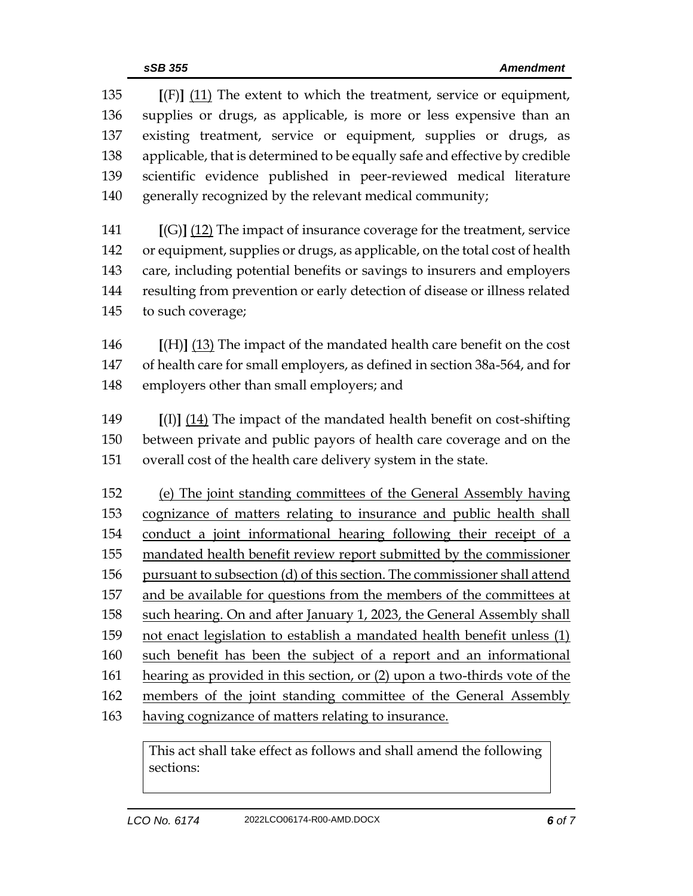**[**(F)**]** (11) The extent to which the treatment, service or equipment, supplies or drugs, as applicable, is more or less expensive than an existing treatment, service or equipment, supplies or drugs, as applicable, that is determined to be equally safe and effective by credible scientific evidence published in peer-reviewed medical literature generally recognized by the relevant medical community;

 **[**(G)**]** (12) The impact of insurance coverage for the treatment, service or equipment, supplies or drugs, as applicable, on the total cost of health care, including potential benefits or savings to insurers and employers resulting from prevention or early detection of disease or illness related to such coverage;

 **[**(H)**]** (13) The impact of the mandated health care benefit on the cost of health care for small employers, as defined in section 38a-564, and for employers other than small employers; and

 **[**(I)**]** (14) The impact of the mandated health benefit on cost-shifting between private and public payors of health care coverage and on the overall cost of the health care delivery system in the state.

 (e) The joint standing committees of the General Assembly having cognizance of matters relating to insurance and public health shall conduct a joint informational hearing following their receipt of a mandated health benefit review report submitted by the commissioner pursuant to subsection (d) of this section. The commissioner shall attend and be available for questions from the members of the committees at such hearing. On and after January 1, 2023, the General Assembly shall 159 not enact legislation to establish a mandated health benefit unless (1) such benefit has been the subject of a report and an informational hearing as provided in this section, or (2) upon a two-thirds vote of the 162 members of the joint standing committee of the General Assembly having cognizance of matters relating to insurance.

This act shall take effect as follows and shall amend the following sections: